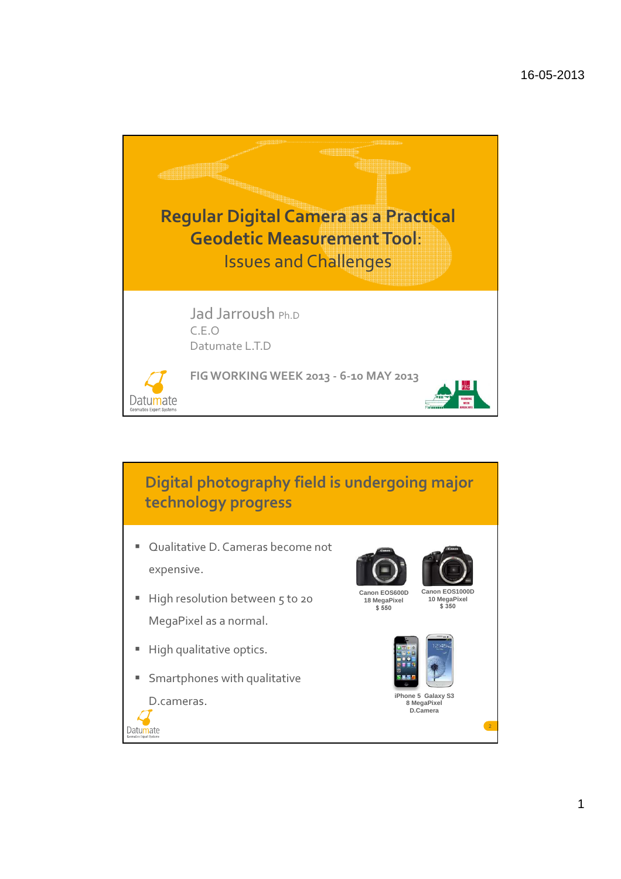

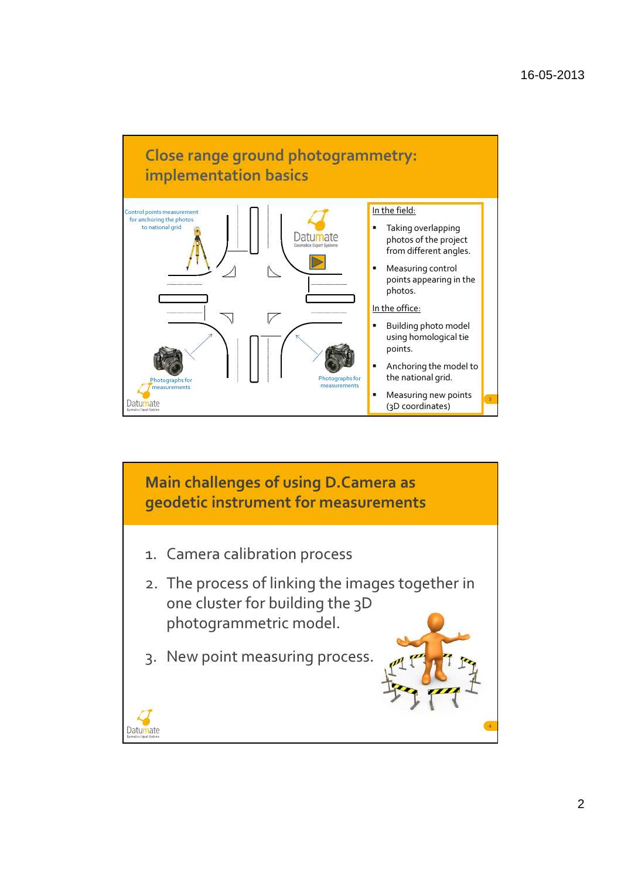

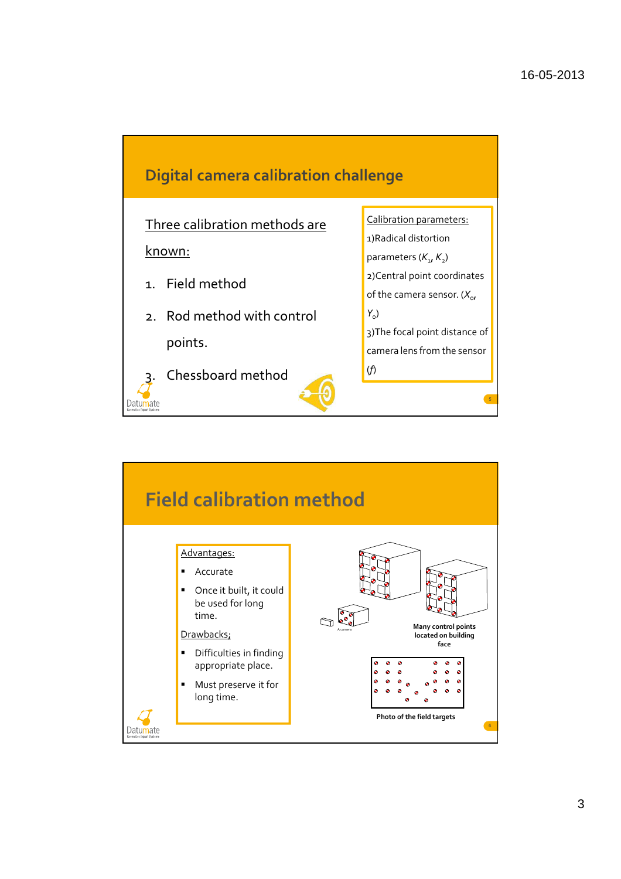

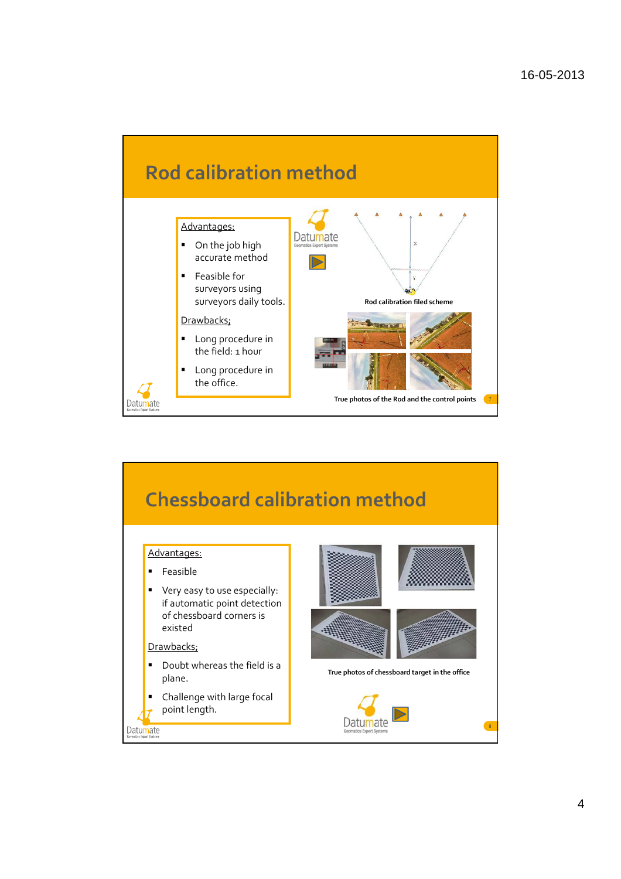

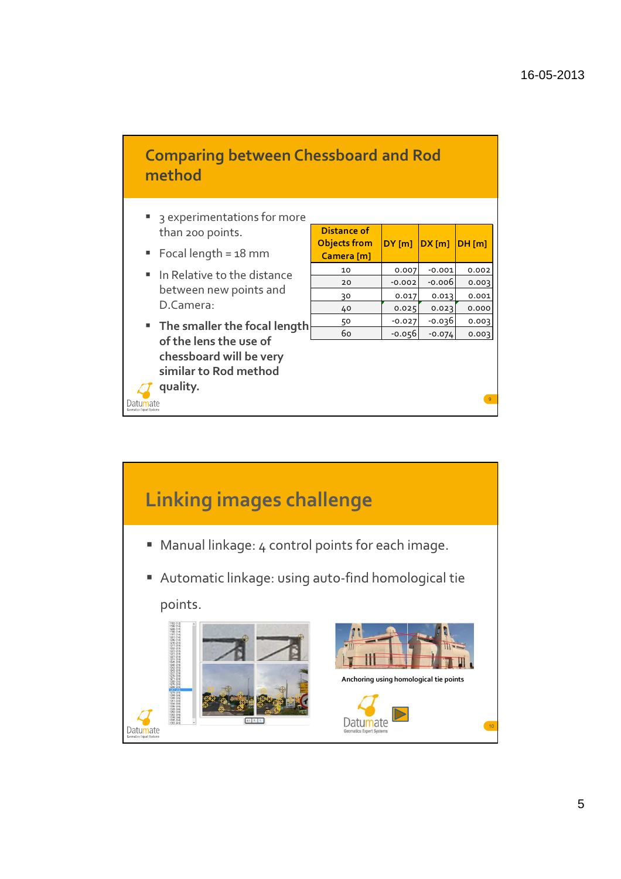## Comparing between Chessboard and Rod method

- <sup>3</sup> 3 experimentations for more than 200 points.
- Focal length =  $18$  mm
- In Relative to the distance between new points and D.Camera:
- **The smaller the focal length** of the lens the use of chessboard will be very similar to Rod method quality.

Datumate

| Distance of<br><b>Objects from</b><br>Camera [m] | $DY$ [m] | DX[m]    | DH[m] |
|--------------------------------------------------|----------|----------|-------|
| 10                                               | 0.007    | $-0.001$ | 0.002 |
| 20                                               | $-0.002$ | -0.006   | 0.003 |
| 30                                               | 0.017    | 0.013    | 0.001 |
| 40                                               | 0.025    | 0.023    | 0.000 |
| 50                                               | $-0.027$ | -0.036   | 0.003 |
| 60                                               | $-0.056$ | $-0.074$ | 0.003 |
|                                                  |          |          |       |

9

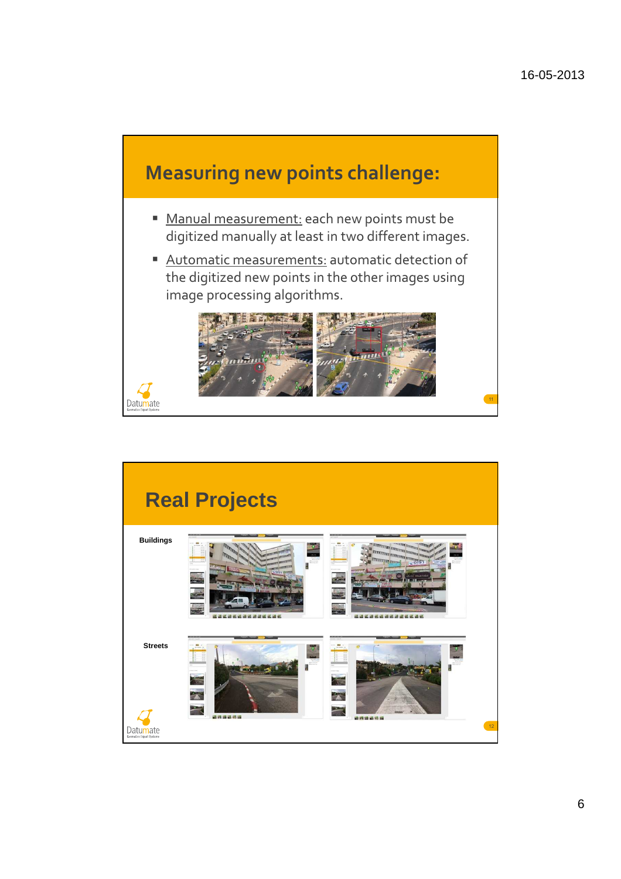

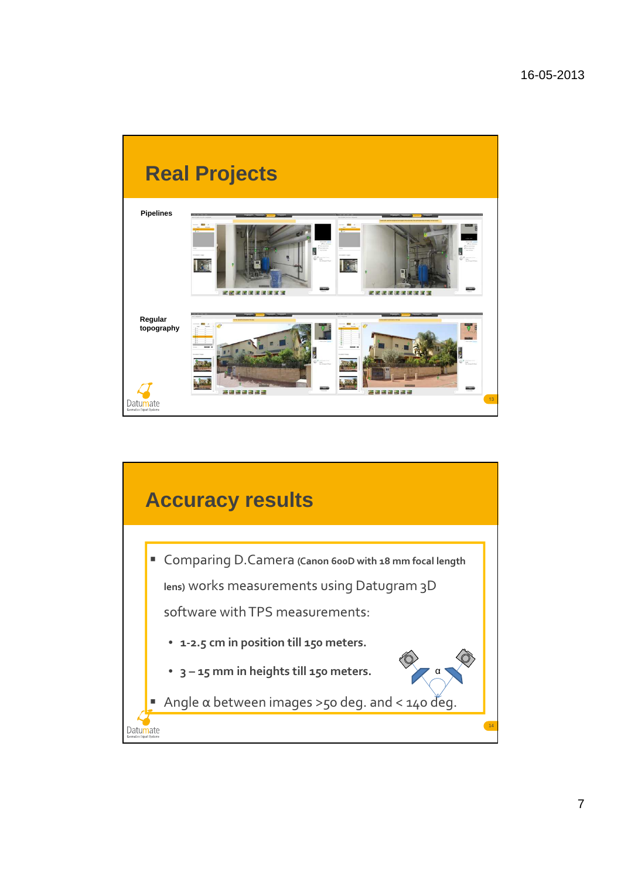